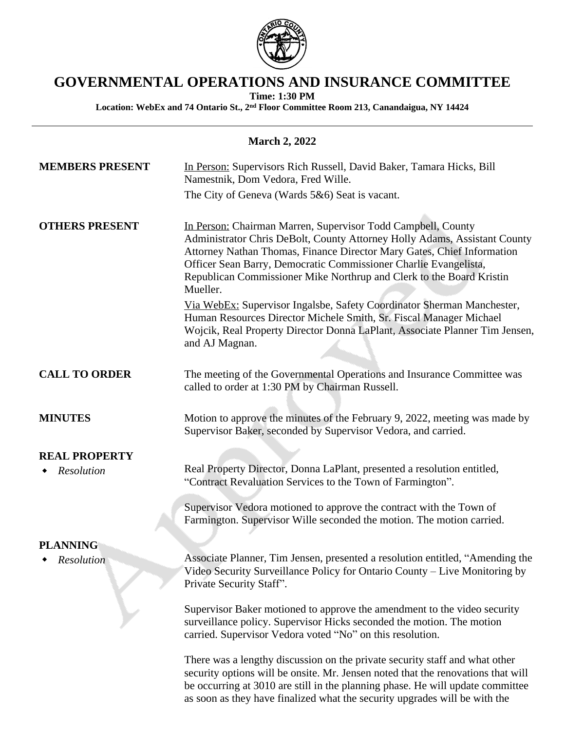

# **GOVERNMENTAL OPERATIONS AND INSURANCE COMMITTEE**

**Time: 1:30 PM**

**Location: WebEx and 74 Ontario St., 2nd Floor Committee Room 213, Canandaigua, NY 14424**

### **March 2, 2022**

| <b>MEMBERS PRESENT</b> | In Person: Supervisors Rich Russell, David Baker, Tamara Hicks, Bill<br>Namestnik, Dom Vedora, Fred Wille.<br>The City of Geneva (Wards $5&6$ ) Seat is vacant.                                                                                                                                                                                                             |
|------------------------|-----------------------------------------------------------------------------------------------------------------------------------------------------------------------------------------------------------------------------------------------------------------------------------------------------------------------------------------------------------------------------|
| <b>OTHERS PRESENT</b>  | In Person: Chairman Marren, Supervisor Todd Campbell, County<br>Administrator Chris DeBolt, County Attorney Holly Adams, Assistant County<br>Attorney Nathan Thomas, Finance Director Mary Gates, Chief Information<br>Officer Sean Barry, Democratic Commissioner Charlie Evangelista,<br>Republican Commissioner Mike Northrup and Clerk to the Board Kristin<br>Mueller. |
|                        | Via WebEx: Supervisor Ingalsbe, Safety Coordinator Sherman Manchester,<br>Human Resources Director Michele Smith, Sr. Fiscal Manager Michael<br>Wojcik, Real Property Director Donna LaPlant, Associate Planner Tim Jensen,<br>and AJ Magnan.                                                                                                                               |
| <b>CALL TO ORDER</b>   | The meeting of the Governmental Operations and Insurance Committee was<br>called to order at 1:30 PM by Chairman Russell.                                                                                                                                                                                                                                                   |
| <b>MINUTES</b>         | Motion to approve the minutes of the February 9, 2022, meeting was made by<br>Supervisor Baker, seconded by Supervisor Vedora, and carried.                                                                                                                                                                                                                                 |
| <b>REAL PROPERTY</b>   |                                                                                                                                                                                                                                                                                                                                                                             |
| Resolution             | Real Property Director, Donna LaPlant, presented a resolution entitled,<br>"Contract Revaluation Services to the Town of Farmington".                                                                                                                                                                                                                                       |
|                        | Supervisor Vedora motioned to approve the contract with the Town of<br>Farmington. Supervisor Wille seconded the motion. The motion carried.                                                                                                                                                                                                                                |
| <b>PLANNING</b>        |                                                                                                                                                                                                                                                                                                                                                                             |
| Resolution             | Associate Planner, Tim Jensen, presented a resolution entitled, "Amending the<br>Video Security Surveillance Policy for Ontario County - Live Monitoring by<br>Private Security Staff".                                                                                                                                                                                     |
|                        | Supervisor Baker motioned to approve the amendment to the video security<br>surveillance policy. Supervisor Hicks seconded the motion. The motion<br>carried. Supervisor Vedora voted "No" on this resolution.                                                                                                                                                              |
|                        | There was a lengthy discussion on the private security staff and what other<br>security options will be onsite. Mr. Jensen noted that the renovations that will<br>be occurring at 3010 are still in the planning phase. He will update committee                                                                                                                           |

as soon as they have finalized what the security upgrades will be with the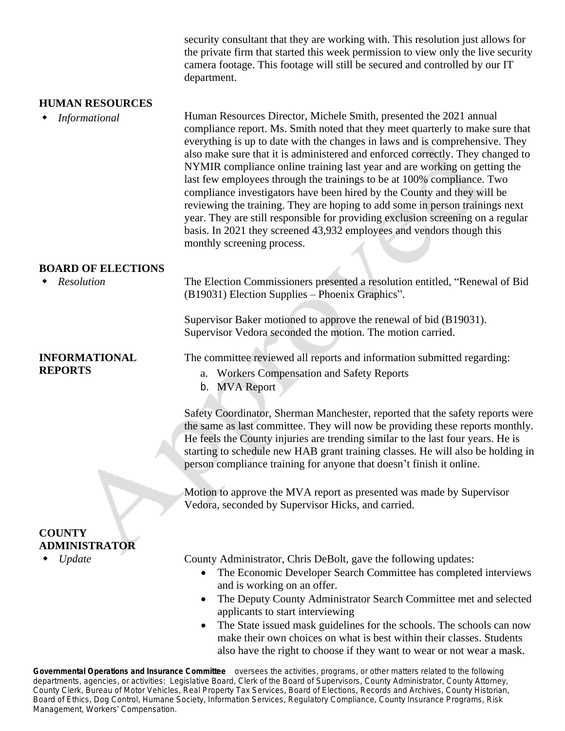security consultant that they are working with. This resolution just allows for the private firm that started this week permission to view only the live security camera footage. This footage will still be secured and controlled by our IT department.

#### **HUMAN RESOURCES**

 *Informational* Human Resources Director, Michele Smith, presented the 2021 annual compliance report. Ms. Smith noted that they meet quarterly to make sure that everything is up to date with the changes in laws and is comprehensive. They also make sure that it is administered and enforced correctly. They changed to NYMIR compliance online training last year and are working on getting the last few employees through the trainings to be at 100% compliance. Two compliance investigators have been hired by the County and they will be reviewing the training. They are hoping to add some in person trainings next year. They are still responsible for providing exclusion screening on a regular basis. In 2021 they screened 43,932 employees and vendors though this monthly screening process.

#### **BOARD OF ELECTIONS**

 *Resolution* The Election Commissioners presented a resolution entitled, "Renewal of Bid (B19031) Election Supplies – Phoenix Graphics".

> Supervisor Baker motioned to approve the renewal of bid (B19031). Supervisor Vedora seconded the motion. The motion carried.

#### **INFORMATIONAL REPORTS**

The committee reviewed all reports and information submitted regarding:

- a. Workers Compensation and Safety Reports
- b. MVA Report

Safety Coordinator, Sherman Manchester, reported that the safety reports were the same as last committee. They will now be providing these reports monthly. He feels the County injuries are trending similar to the last four years. He is starting to schedule new HAB grant training classes. He will also be holding in person compliance training for anyone that doesn't finish it online.

Motion to approve the MVA report as presented was made by Supervisor Vedora, seconded by Supervisor Hicks, and carried.

## **COUNTY ADMINISTRATOR**

*Update* County Administrator, Chris DeBolt, gave the following updates:

- The Economic Developer Search Committee has completed interviews and is working on an offer.
- The Deputy County Administrator Search Committee met and selected applicants to start interviewing
- The State issued mask guidelines for the schools. The schools can now make their own choices on what is best within their classes. Students also have the right to choose if they want to wear or not wear a mask.

**Governmental Operations and Insurance Committee** oversees the activities, programs, or other matters related to the following departments, agencies, or activities: *Legislative Board, Clerk of the Board of Supervisors, County Administrator, County Attorney, County Clerk, Bureau of Motor Vehicles, Real Property Tax Services, Board of Elections, Records and Archives, County Historian, Board of Ethics, Dog Control, Humane Society, Information Services, Regulatory Compliance, County Insurance Programs, Risk Management, Workers*' *Compensation.*